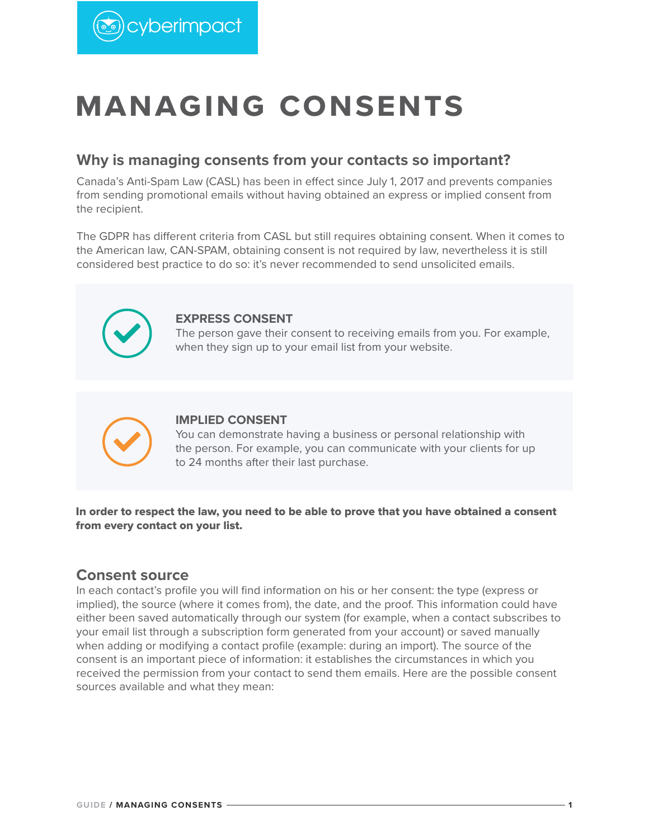

# **MANAGING CONSENTS**

#### **Why is managing consents from your contacts so important?**

Canada's Anti-Spam Law (CASL) has been in effect since July 1, 2017 and prevents companies from sending promotional emails without having obtained an express or implied consent from the recipient.

The GDPR has different criteria from CASL but still requires obtaining consent. When it comes to the American law, CAN-SPAM, obtaining consent is not required by law, nevertheless it is still considered best practice to do so: it's never recommended to send unsolicited emails.



#### **EXPRESS CONSENT**

The person gave their consent to receiving emails from you. For example, when they sign up to your email list from your website.



#### **IMPLIED CONSENT**

You can demonstrate having a business or personal relationship with the person. For example, you can communicate with your clients for up to 24 months after their last purchase.

In order to respect the law, you need to be able to prove that you have obtained a consent from every contact on your list.

#### **Consent source**

In each contact's profile you will find information on his or her consent: the type (express or implied), the source (where it comes from), the date, and the proof. This information could have either been saved automatically through our system (for example, when a contact subscribes to your email list through a subscription form generated from your account) or saved manually when adding or modifying a contact profile (example: during an import). The source of the consent is an important piece of information: it establishes the circumstances in which you received the permission from your contact to send them emails. Here are the possible consent sources available and what they mean: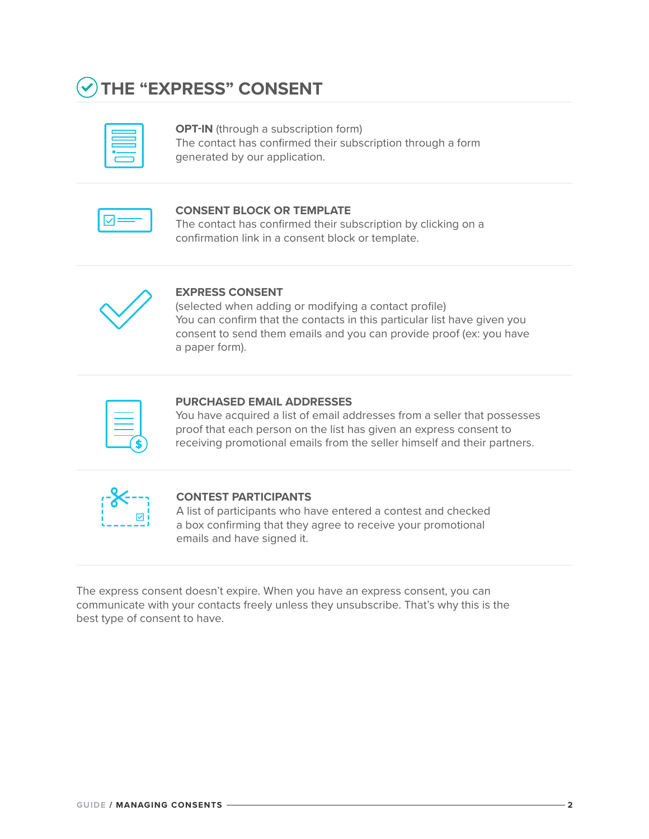

**OPT-IN** (through a subscription form) The contact has confirmed their subscription through a form generated by our application.

#### **CONSENT BLOCK OR TEMPLATE**

The contact has confirmed their subscription by clicking on a confirmation link in a consent block or template.



#### **EXPRESS CONSENT**

(selected when adding or modifying a contact profile) You can confirm that the contacts in this particular list have given you consent to send them emails and you can provide proof (ex: you have a paper form).

| the contract of the contract of the contract of the contract of the contract of |  |
|---------------------------------------------------------------------------------|--|
| ________                                                                        |  |
|                                                                                 |  |

#### **PURCHASED EMAIL ADDRESSES**

You have acquired a list of email addresses from a seller that possesses proof that each person on the list has given an express consent to receiving promotional emails from the seller himself and their partners.

| ●   |  |
|-----|--|
| í.  |  |
| ⊠ । |  |
|     |  |

#### **CONTEST PARTICIPANTS**

A list of participants who have entered a contest and checked a box confirming that they agree to receive your promotional emails and have signed it.

The express consent doesn't expire. When you have an express consent, you can communicate with your contacts freely unless they unsubscribe. That's why this is the best type of consent to have.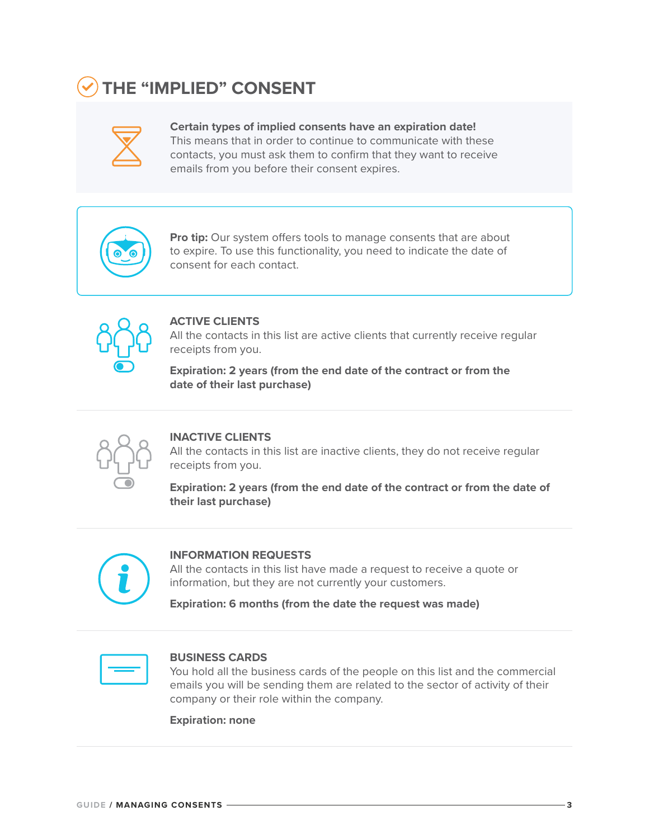# **THE "IMPLIED" CONSENT**

| $\mathcal{L}^{\text{max}}_{\text{max}}$ and $\mathcal{L}^{\text{max}}_{\text{max}}$ and $\mathcal{L}^{\text{max}}_{\text{max}}$ |
|---------------------------------------------------------------------------------------------------------------------------------|
|                                                                                                                                 |
|                                                                                                                                 |
|                                                                                                                                 |

**Certain types of implied consents have an expiration date!** This means that in order to continue to communicate with these contacts, you must ask them to confirm that they want to receive emails from you before their consent expires.



**Pro tip:** Our system offers tools to manage consents that are about to expire. To use this functionality, you need to indicate the date of consent for each contact.



#### **ACTIVE CLIENTS**

All the contacts in this list are active clients that currently receive regular receipts from you.

**Expiration: 2 years (from the end date of the contract or from the date of their last purchase)**



#### **INACTIVE CLIENTS**

All the contacts in this list are inactive clients, they do not receive regular receipts from you.

**Expiration: 2 years (from the end date of the contract or from the date of their last purchase)**



#### **INFORMATION REQUESTS**

All the contacts in this list have made a request to receive a quote or information, but they are not currently your customers.

**Expiration: 6 months (from the date the request was made)**

#### **BUSINESS CARDS**

You hold all the business cards of the people on this list and the commercial emails you will be sending them are related to the sector of activity of their company or their role within the company.

**Expiration: none**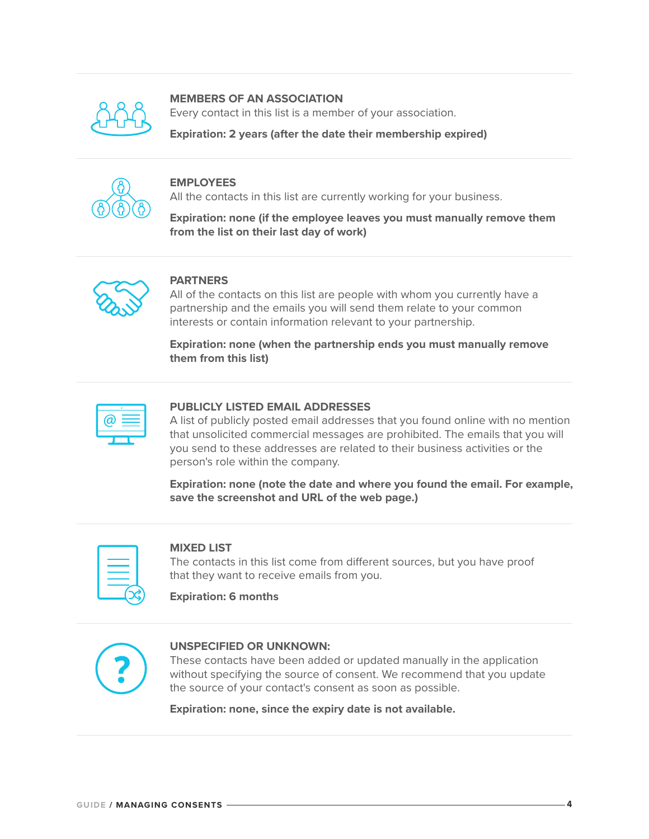

#### **MEMBERS OF AN ASSOCIATION**

Every contact in this list is a member of your association.

**Expiration: 2 years (after the date their membership expired)**



#### **EMPLOYEES**

All the contacts in this list are currently working for your business.

**Expiration: none (if the employee leaves you must manually remove them from the list on their last day of work)**



#### **PARTNERS**

All of the contacts on this list are people with whom you currently have a partnership and the emails you will send them relate to your common interests or contain information relevant to your partnership.

**Expiration: none (when the partnership ends you must manually remove them from this list)**

#### **PUBLICLY LISTED EMAIL ADDRESSES**

A list of publicly posted email addresses that you found online with no mention that unsolicited commercial messages are prohibited. The emails that you will you send to these addresses are related to their business activities or the person's role within the company.

**Expiration: none (note the date and where you found the email. For example, save the screenshot and URL of the web page.)**

#### **MIXED LIST**

The contacts in this list come from different sources, but you have proof that they want to receive emails from you.

**Expiration: 6 months**



#### **UNSPECIFIED OR UNKNOWN:**

These contacts have been added or updated manually in the application without specifying the source of consent. We recommend that you update the source of your contact's consent as soon as possible.

**Expiration: none, since the expiry date is not available.**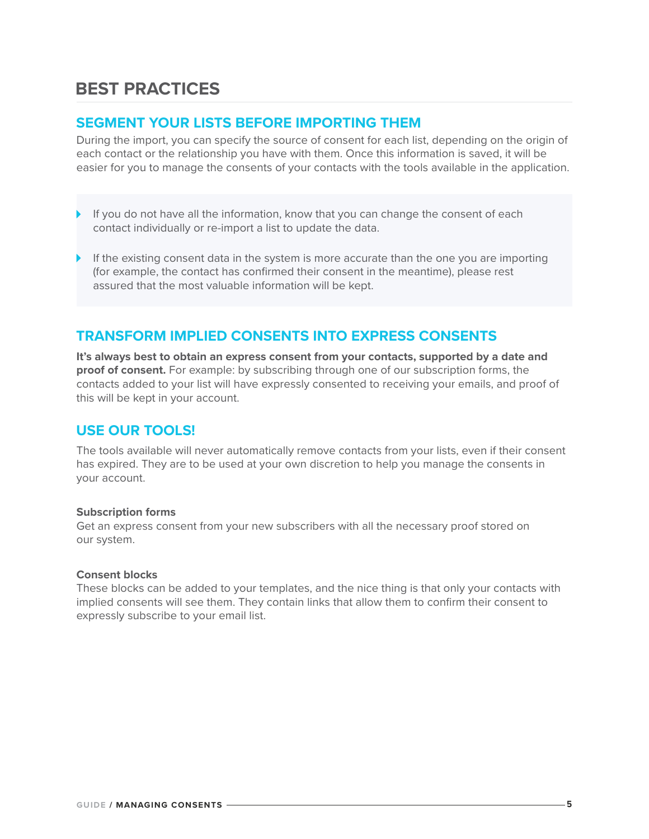## **BEST PRACTICES**

#### **SEGMENT YOUR LISTS BEFORE IMPORTING THEM**

During the import, you can specify the source of consent for each list, depending on the origin of each contact or the relationship you have with them. Once this information is saved, it will be easier for you to manage the consents of your contacts with the tools available in the application.

- If you do not have all the information, know that you can change the consent of each contact individually or re-import a list to update the data.
- If the existing consent data in the system is more accurate than the one you are importing (for example, the contact has confirmed their consent in the meantime), please rest assured that the most valuable information will be kept.

#### **TRANSFORM IMPLIED CONSENTS INTO EXPRESS CONSENTS**

**It's always best to obtain an express consent from your contacts, supported by a date and proof of consent.** For example: by subscribing through one of our subscription forms, the contacts added to your list will have expressly consented to receiving your emails, and proof of this will be kept in your account.

#### **USE OUR TOOLS!**

The tools available will never automatically remove contacts from your lists, even if their consent has expired. They are to be used at your own discretion to help you manage the consents in your account.

#### **Subscription forms**

Get an express consent from your new subscribers with all the necessary proof stored on our system.

#### **Consent blocks**

These blocks can be added to your templates, and the nice thing is that only your contacts with implied consents will see them. They contain links that allow them to confirm their consent to expressly subscribe to your email list.